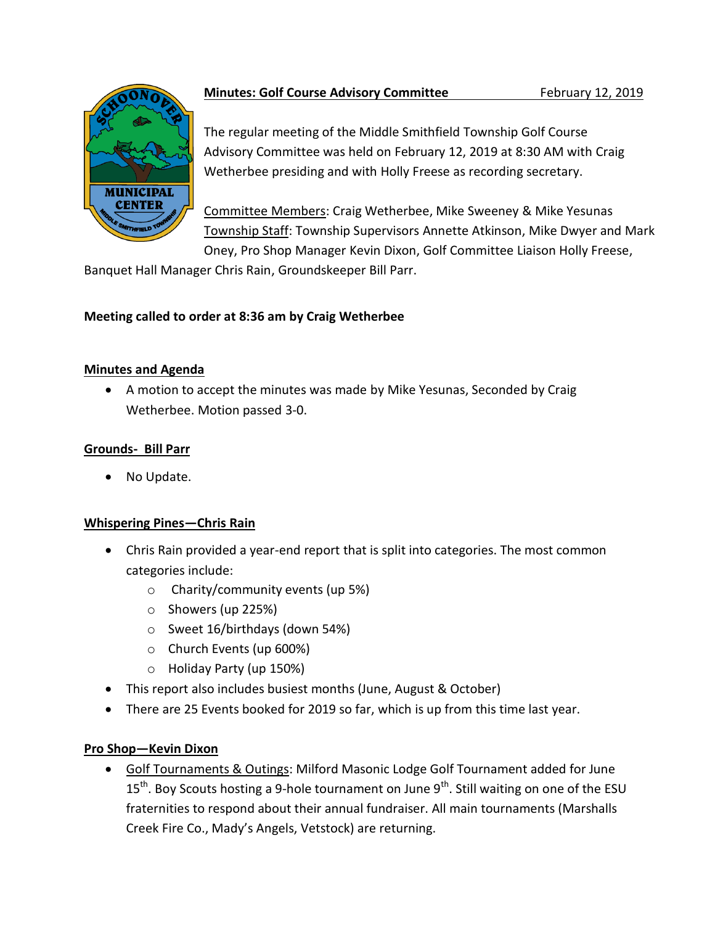

# **Minutes: Golf Course Advisory Committee February 12, 2019**

The regular meeting of the Middle Smithfield Township Golf Course Advisory Committee was held on February 12, 2019 at 8:30 AM with Craig Wetherbee presiding and with Holly Freese as recording secretary.

Committee Members: Craig Wetherbee, Mike Sweeney & Mike Yesunas Township Staff: Township Supervisors Annette Atkinson, Mike Dwyer and Mark Oney, Pro Shop Manager Kevin Dixon, Golf Committee Liaison Holly Freese,

Banquet Hall Manager Chris Rain, Groundskeeper Bill Parr.

## **Meeting called to order at 8:36 am by Craig Wetherbee**

### **Minutes and Agenda**

 A motion to accept the minutes was made by Mike Yesunas, Seconded by Craig Wetherbee. Motion passed 3-0.

## **Grounds- Bill Parr**

• No Update.

## **Whispering Pines—Chris Rain**

- Chris Rain provided a year-end report that is split into categories. The most common categories include:
	- o Charity/community events (up 5%)
	- o Showers (up 225%)
	- o Sweet 16/birthdays (down 54%)
	- o Church Events (up 600%)
	- o Holiday Party (up 150%)
- This report also includes busiest months (June, August & October)
- There are 25 Events booked for 2019 so far, which is up from this time last year.

## **Pro Shop—Kevin Dixon**

 Golf Tournaments & Outings: Milford Masonic Lodge Golf Tournament added for June 15<sup>th</sup>. Boy Scouts hosting a 9-hole tournament on June 9<sup>th</sup>. Still waiting on one of the ESU fraternities to respond about their annual fundraiser. All main tournaments (Marshalls Creek Fire Co., Mady's Angels, Vetstock) are returning.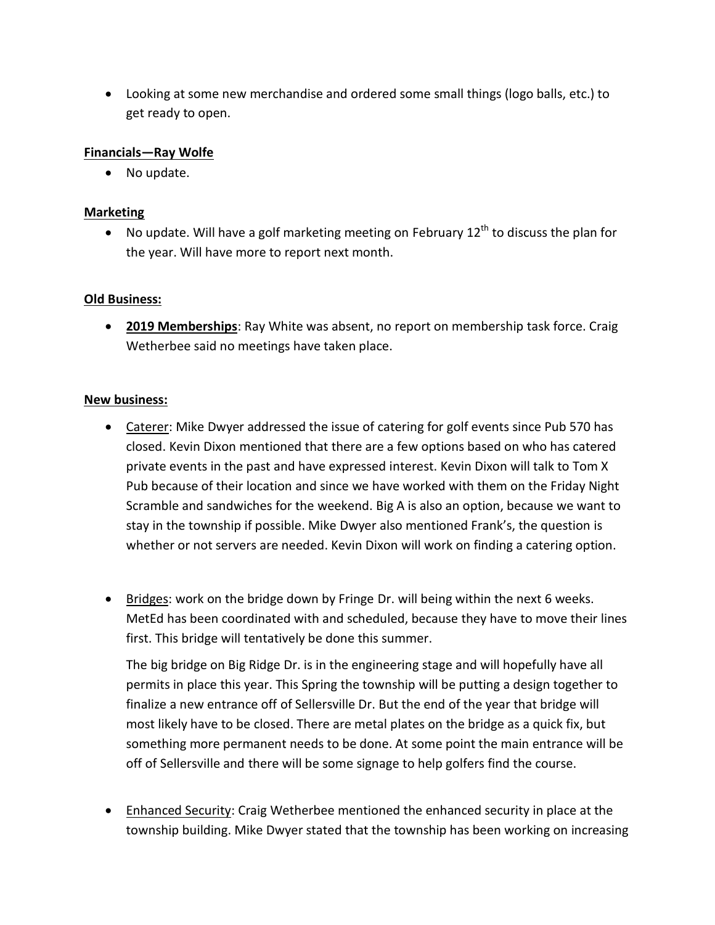Looking at some new merchandise and ordered some small things (logo balls, etc.) to get ready to open.

#### **Financials—Ray Wolfe**

• No update.

#### **Marketing**

 $\bullet$  No update. Will have a golf marketing meeting on February 12<sup>th</sup> to discuss the plan for the year. Will have more to report next month.

#### **Old Business:**

 **2019 Memberships**: Ray White was absent, no report on membership task force. Craig Wetherbee said no meetings have taken place.

#### **New business:**

- Caterer: Mike Dwyer addressed the issue of catering for golf events since Pub 570 has closed. Kevin Dixon mentioned that there are a few options based on who has catered private events in the past and have expressed interest. Kevin Dixon will talk to Tom X Pub because of their location and since we have worked with them on the Friday Night Scramble and sandwiches for the weekend. Big A is also an option, because we want to stay in the township if possible. Mike Dwyer also mentioned Frank's, the question is whether or not servers are needed. Kevin Dixon will work on finding a catering option.
- **Bridges:** work on the bridge down by Fringe Dr. will being within the next 6 weeks. MetEd has been coordinated with and scheduled, because they have to move their lines first. This bridge will tentatively be done this summer.

The big bridge on Big Ridge Dr. is in the engineering stage and will hopefully have all permits in place this year. This Spring the township will be putting a design together to finalize a new entrance off of Sellersville Dr. But the end of the year that bridge will most likely have to be closed. There are metal plates on the bridge as a quick fix, but something more permanent needs to be done. At some point the main entrance will be off of Sellersville and there will be some signage to help golfers find the course.

 Enhanced Security: Craig Wetherbee mentioned the enhanced security in place at the township building. Mike Dwyer stated that the township has been working on increasing